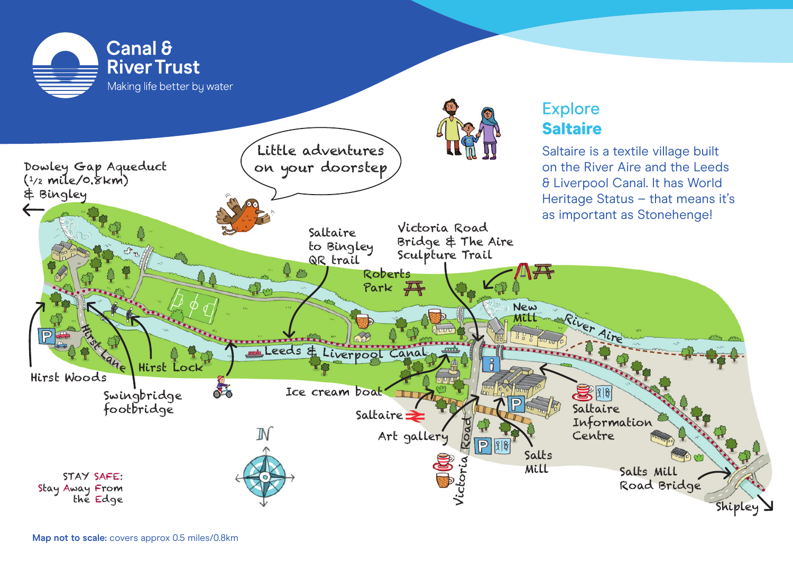